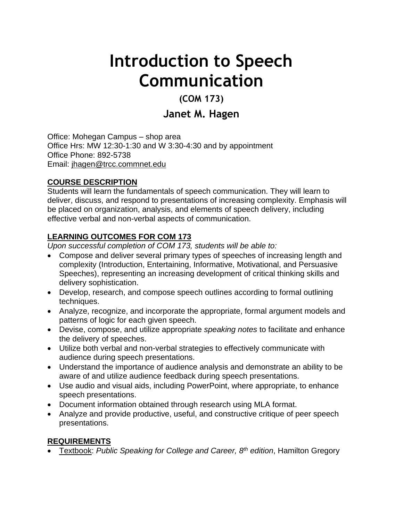# **Introduction to Speech Communication**

# **(COM 173)**

# **Janet M. Hagen**

Office: Mohegan Campus – shop area Office Hrs: MW 12:30-1:30 and W 3:30-4:30 and by appointment Office Phone: 892-5738 Email: [jhagen@trcc.commnet.edu](mailto:jhagen@trcc.commnet.edu)

#### **COURSE DESCRIPTION**

Students will learn the fundamentals of speech communication. They will learn to deliver, discuss, and respond to presentations of increasing complexity. Emphasis will be placed on organization, analysis, and elements of speech delivery, including effective verbal and non-verbal aspects of communication.

#### **LEARNING OUTCOMES FOR COM 173**

*Upon successful completion of COM 173, students will be able to:*

- Compose and deliver several primary types of speeches of increasing length and complexity (Introduction, Entertaining, Informative, Motivational, and Persuasive Speeches), representing an increasing development of critical thinking skills and delivery sophistication.
- Develop, research, and compose speech outlines according to formal outlining techniques.
- Analyze, recognize, and incorporate the appropriate, formal argument models and patterns of logic for each given speech.
- Devise, compose, and utilize appropriate *speaking notes* to facilitate and enhance the delivery of speeches.
- Utilize both verbal and non-verbal strategies to effectively communicate with audience during speech presentations.
- Understand the importance of audience analysis and demonstrate an ability to be aware of and utilize audience feedback during speech presentations.
- Use audio and visual aids, including PowerPoint, where appropriate, to enhance speech presentations.
- Document information obtained through research using MLA format.
- Analyze and provide productive, useful, and constructive critique of peer speech presentations.

#### **REQUIREMENTS**

Textbook: *Public Speaking for College and Career, 8th edition*, Hamilton Gregory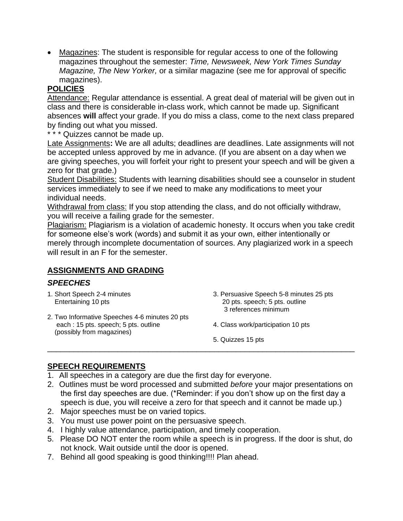Magazines: The student is responsible for regular access to one of the following magazines throughout the semester: *Time, Newsweek, New York Times Sunday Magazine, The New Yorker,* or a similar magazine (see me for approval of specific magazines).

#### **POLICIES**

Attendance: Regular attendance is essential. A great deal of material will be given out in class and there is considerable in-class work, which cannot be made up. Significant absences **will** affect your grade. If you do miss a class, come to the next class prepared by finding out what you missed.

\* \* \* Quizzes cannot be made up.

Late Assignments**:** We are all adults; deadlines are deadlines. Late assignments will not be accepted unless approved by me in advance. (If you are absent on a day when we are giving speeches, you will forfeit your right to present your speech and will be given a zero for that grade.)

Student Disabilities: Students with learning disabilities should see a counselor in student services immediately to see if we need to make any modifications to meet your individual needs.

Withdrawal from class: If you stop attending the class, and do not officially withdraw, you will receive a failing grade for the semester.

Plagiarism: Plagiarism is a violation of academic honesty. It occurs when you take credit for someone else's work (words) and submit it as your own, either intentionally or merely through incomplete documentation of sources. Any plagiarized work in a speech will result in an F for the semester.

#### **ASSIGNMENTS AND GRADING**

#### *SPEECHES*

- 1. Short Speech 2-4 minutes Entertaining 10 pts
- 2. Two Informative Speeches 4-6 minutes 20 pts each : 15 pts. speech; 5 pts. outline (possibly from magazines)
- 3. Persuasive Speech 5-8 minutes 25 pts 20 pts. speech; 5 pts. outline 3 references minimum
- 4. Class work/participation 10 pts
- 5. Quizzes 15 pts

#### **SPEECH REQUIREMENTS**

- 1. All speeches in a category are due the first day for everyone.
- 2. Outlines must be word processed and submitted *before* your major presentations on the first day speeches are due. (\*Reminder: if you don't show up on the first day a speech is due, you will receive a zero for that speech and it cannot be made up.)

\_\_\_\_\_\_\_\_\_\_\_\_\_\_\_\_\_\_\_\_\_\_\_\_\_\_\_\_\_\_\_\_\_\_\_\_\_\_\_\_\_\_\_\_\_\_\_\_\_\_\_\_\_\_\_\_\_\_\_\_\_\_\_\_\_\_\_\_\_\_

- 2. Major speeches must be on varied topics.
- 3. You must use power point on the persuasive speech.
- 4. I highly value attendance, participation, and timely cooperation.
- 5. Please DO NOT enter the room while a speech is in progress. If the door is shut, do not knock. Wait outside until the door is opened.
- 7. Behind all good speaking is good thinking!!!! Plan ahead.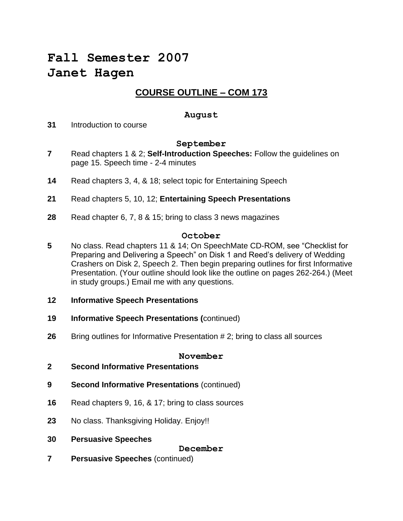# **Fall Semester 2007 Janet Hagen**

### **COURSE OUTLINE – COM 173**

#### **August**

**31** Introduction to course

#### **September**

- **7** Read chapters 1 & 2; **Self-Introduction Speeches:** Follow the guidelines on page 15. Speech time - 2-4 minutes
- **14** Read chapters 3, 4, & 18; select topic for Entertaining Speech
- **21** Read chapters 5, 10, 12; **Entertaining Speech Presentations**
- **28** Read chapter 6, 7, 8 & 15; bring to class 3 news magazines

#### **October**

- **5** No class. Read chapters 11 & 14; On SpeechMate CD-ROM, see "Checklist for Preparing and Delivering a Speech" on Disk 1 and Reed's delivery of Wedding Crashers on Disk 2, Speech 2. Then begin preparing outlines for first Informative Presentation. (Your outline should look like the outline on pages 262-264.) (Meet in study groups.) Email me with any questions.
- **12 Informative Speech Presentations**
- **19 Informative Speech Presentations (**continued)
- **26** Bring outlines for Informative Presentation # 2; bring to class all sources

#### **November**

- **2 Second Informative Presentations**
- **9 Second Informative Presentations** (continued)
- **16** Read chapters 9, 16, & 17; bring to class sources
- **23** No class. Thanksgiving Holiday. Enjoy!!
- **30 Persuasive Speeches**

**December**

**7 Persuasive Speeches** (continued)